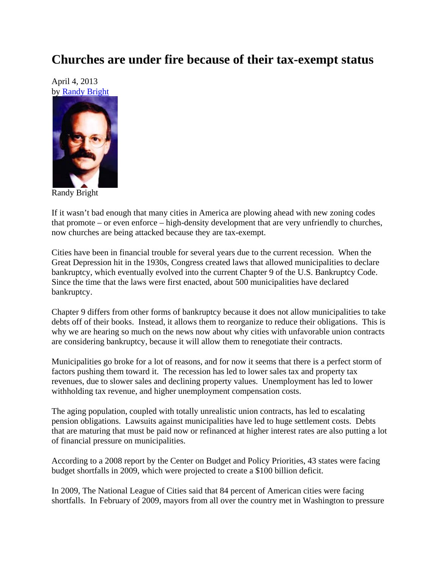## **Churches are under fire because of their tax-exempt status**

April 4, 2013 by Randy Bright



Randy Bright

If it wasn't bad enough that many cities in America are plowing ahead with new zoning codes that promote – or even enforce – high-density development that are very unfriendly to churches, now churches are being attacked because they are tax-exempt.

Cities have been in financial trouble for several years due to the current recession. When the Great Depression hit in the 1930s, Congress created laws that allowed municipalities to declare bankruptcy, which eventually evolved into the current Chapter 9 of the U.S. Bankruptcy Code. Since the time that the laws were first enacted, about 500 municipalities have declared bankruptcy.

Chapter 9 differs from other forms of bankruptcy because it does not allow municipalities to take debts off of their books. Instead, it allows them to reorganize to reduce their obligations. This is why we are hearing so much on the news now about why cities with unfavorable union contracts are considering bankruptcy, because it will allow them to renegotiate their contracts.

Municipalities go broke for a lot of reasons, and for now it seems that there is a perfect storm of factors pushing them toward it. The recession has led to lower sales tax and property tax revenues, due to slower sales and declining property values. Unemployment has led to lower withholding tax revenue, and higher unemployment compensation costs.

The aging population, coupled with totally unrealistic union contracts, has led to escalating pension obligations. Lawsuits against municipalities have led to huge settlement costs. Debts that are maturing that must be paid now or refinanced at higher interest rates are also putting a lot of financial pressure on municipalities.

According to a 2008 report by the Center on Budget and Policy Priorities, 43 states were facing budget shortfalls in 2009, which were projected to create a \$100 billion deficit.

In 2009, The National League of Cities said that 84 percent of American cities were facing shortfalls. In February of 2009, mayors from all over the country met in Washington to pressure